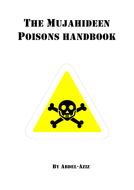# THE MUJAHIDEEN POISONS HANDBOOK



BY ABDEL-AZIZ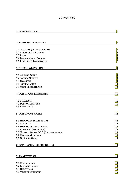# *CONTENTS*

| <b>1. INTRODUCTION</b>                | $\mathbf{1}$            |
|---------------------------------------|-------------------------|
|                                       |                         |
| 2. HOMEMADE POISONS                   | 3                       |
|                                       |                         |
| 2.1 NICOTINE (FROM TOBACCO)           | 3                       |
| <b>2.2 ALKALOID OF POTATO</b>         | $\overline{\mathbf{4}}$ |
| 2.3 RICIN                             | $\overline{\mathbf{4}}$ |
| <b>2.4 BETALUMINUM POISON</b>         | 5                       |
| <b>2.5 POISONOUS TOADSTOOLS</b>       | 7                       |
| <b>3. CHEMICAL POISONS</b>            | 8                       |
| <b>3.1 ARSENIC OXIDE</b>              | 8                       |
| <b>3.2 SODIUM NITRITE</b>             | 8                       |
| <b>3.3 CYANIDES</b>                   | 9                       |
| <b>3.4 SODIUM AZIDE</b>               | 10                      |
| <b>3.5 MERCURIC NITRATE</b>           | 10                      |
| <b>4. POISONOUS ELEMENTS</b>          | 11                      |
| <b>4.1 THALLIUM</b>                   | 11                      |
| <b>4.2 DUST OF DIAMOND</b>            | 11                      |
| <b>4.3 PHOPHORUS</b>                  | 11                      |
| 5. POISONOUS GASES                    | <u>12</u>               |
| <b>5.1 HYDROGEN SULPHIDE GAS</b>      | 12                      |
| 5.2 CHLORINE                          | 12                      |
| <b>5.3 HYDROGEN CYANIDE GAS</b>       | 12                      |
| 5.4 FUSOGEN (NERVE GAS)               | 13                      |
| 5.5 NITROUS OXIDE: N2O (LAUGHING GAS) | 13                      |
| <b>5.6 CARBON MONOXIDE</b>            | 13                      |
| 5.7 ON USING GASES                    | 13                      |
| <b>6. POISONOUS/ USEFUL DRUGS</b>     | <b>14</b>               |
| 7. ANAESTHESIA                        | 14                      |
| 7.1 CHLOROFORM                        | 14                      |
| 7.2 DI-PHENYL ETHER                   | 15                      |
| 7.3 HALOTHANE                         | 15                      |
| 7.4 METHOXYTHURANE                    | 15                      |
|                                       |                         |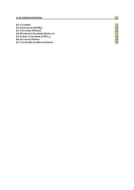| <b>8.1 CYANDIES</b>                          | 15 |
|----------------------------------------------|----|
| 8.2 ANALENE $(C_6H_5NH_2)$                   | 16 |
| <b>8.3 TOUCHING POISONS</b>                  | 16 |
| 8.4 HYDROGEN SULPHIDE (H <sub>2</sub> S) GAS | 17 |
| 8.5 COBALT CHLORIDE (COCL2)                  | 18 |
| <b>8.6 ALCOLITE POISON</b>                   | 18 |
| <b>8.7 CASTER BEANS (RICIN) POISON</b>       | 18 |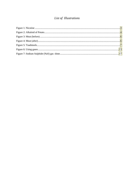# List of Illustrations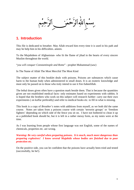# <span id="page-4-0"></span>**1. Introduction**

This file is dedicated to breather. May Allah reward him every time it is used in his path and may he help him in his difficulties. ameen.

To the Mujahideen of Afghanistan- who lit the flame of jihad in the hearts of every sincere Muslim throughout the world.

"*you will conquer Constantinople and Rome*" - prophet Muhammad (saw)

In The Name of Allah The Most Merciful The Most Kind

The subject matter of this booklet deals with poisons. Poisons are substances which cause harm to the human body when administered in small doses. It is an esoteric knowledge and must only be passed on to those who truly intend to use it Fee-Sabeelillah.

The lethal doses given often have a question mark beside them. That is because the quantities given are not established medical facts- only estimates based on experiments with rabbits. It is hoped that the brothers who work on this subject will research further- carry out their own experiments ( on kuffar preferably) and refer to medical books etc. to fill in what is missing.

This book is a copy of *Breather's* notes with additions from myself, as we both did the same course. Notes are taken from a poisons course with certain 'terrorist groups' or 'freedom fighters' depending on which side of the fence you sit on. I have not bothered to clean it up as a published book should be, but it is left in a rather messy form, as my notes were at the time.

As I was learning from people whose first language was not English, some of the names of chemicals, properties etc. are wrong.

*Warning: Be very careful when preparing poisons. It is much, much more dangerous than preparing explosives! I know several Mujahids whose bodies are finished due to poor protection etc.*

On the positive side, you can be confident that the poisons have actually been tried and tested (successfully, he he!).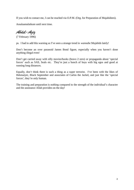If you wish to contact me, I can be reached via O.P.M. (Org. for Preparation of Mujahideen).

Assalaamalaikum until next time.

Abdel-Aziz

(7 February 1996)

ps. I had to add this warning as I've seen a strange trend in *wannabe* Mujahids lately!

Don't become an over paranoid James Bond figure, especially when you haven't done anything illegal even!

Don't get carried away with silly movies/books (bravo 2 zero) or propaganda about 'special forces' such as SAS, Seals etc. They're just a bunch of boys with big egos and good at running long distances.

Equally, don't think there is such a thing as a super terrorist. I've been with the likes of Hekmatyer, Black September and associates of Carlos the Jackel, and just like the 'special forces', they're only human.

The training and preparation is nothing compared to the strength of the individual's character and the assistance Allah provides on the day!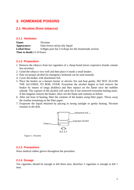# <span id="page-6-0"></span>**2. HOMEMADE POISONS**

# **2.1 Nicotine (from tobacco)**

### **2.1.1 Attributes**

| Name:                             | Nicotine                                            |  |
|-----------------------------------|-----------------------------------------------------|--|
| Appearance:                       | Dark brown sticky/oily liquid                       |  |
| <b>Lethal Dose:</b>               | 0.06gm pure but 3-4 drops for this homemade version |  |
| <b>Time to death:</b> 12-24 hours |                                                     |  |

#### **2.1.2 Preparation**

- 1. Remove the tobacco from ten cigarettes of a cheap brand (more expensive brands contain less nicotine)
- 2. Grind the tobacco very well and then place it inside a small beaker.
- 3. Pour iso-propyl alcohol (in emergency burbonal can be used instead).
- 4. Cover the beaker with aluminium foil.
- 5. Place the beaker on a bunsen burner or electric fire and heat gently. DO NOT ALLOW THE ALCOHOL TO BOIL OVER. Everytime the alcohol begins to boil remove the beaker by means of tongs (holders) and then replace on the flame once the bubbles subside. The vapours of the alcohol will catch fire if not removed everytime boiling starts. If this happens remove the beaker, blow out the flame and continue as before.
- 6. After one hour of heating, filter the contents of the beaker using filter paper. Throw away the residue remaining on the filter paper.
- 7. Evaporate the liquid obtained by placing in strong sunlight or gently heating. Nicotine remains in the dish.



*Figure 1: Nicotine*

### **2.1.3 Precautions**

Wear medical rubber gloves throughout the procedure.

#### **2.1.4 Dosage**

Ten cigarettes should be enough to kill three men, therefore 3 cigarettes is enough to kill 1 man.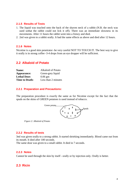### <span id="page-7-0"></span>**2.1.5 Results of Tests**

- 1. The liquid was touched onto the back of the shaven neck of a rabbit (N.B. the neck was used sothat the rabbit could not lick it off). There was an immediate slowness in its movements. After 11 hours the rabbit went into a frenzy and died.
- 2. 2ml was given to a rabbit orally. It had the same effects as above and died after 12 hours.

#### **2.1.6 Notes**

Nicotine is a good skin penetrator -be very careful NOT TO TOUCH IT. The best way to give it orally is in strong coffee -3-4 drops from an eye dropper will be sufficient.

### **2.2 Alkaloid of Potato**

| <b>Name:</b>          | <b>Alkaloid of Potato</b> |
|-----------------------|---------------------------|
| Appearance:           | Green-grey liquid         |
| <b>Lethal Dose:</b>   | $0.06$ gm                 |
| <b>Time to Death:</b> | Less than 2 minutes       |

### **2.2.1 Preparation and Precautions:**

The preparation procedure is exactly the same as for Nicotine except for the fact that the spuds on the skins of GREEN potatoes is used instead of tobacco.



*Figure 2: Alkaloid of Potato*

### **2.2.2 Results of tests**

3ml was given orally to a strong rabbit. It started shrieking immediately. Blood came out from its mouth. It died after 100 seconds.

The same dose was given to a small rabbit. It died in 7 seconds.

### **2.2.3 Notes**

Cannot be used through the skin by itself - orally or by injection only. Orally is better.

# **2.3 Ricin**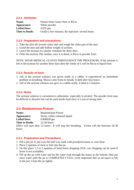### <span id="page-8-0"></span>**2.3.1 Attributes**

| Name:                 | Poison from Castor Nuts or Ricin                  |
|-----------------------|---------------------------------------------------|
| Appearance:           | White powder                                      |
| <b>Lethal Dose:</b>   | $0.035$ gm                                        |
| <b>Time to Death:</b> | Orally-a few minutes. By injection-several hours. |

### **2.3.2 Preparation and precautions:**

- 1. Take the skin off several castor nuts and weigh the white part of the nuts.
- 2. Grind the nuts and add 4xtheir weight of acetone.
- 3. Leave the mixture in a plastic container for three days.
- 4. Filter the mixture.The residue, once it is dried, is Ricin in powder form.

NOTE: WEAR MEDICAL GLOVES THROUGHOUT THE PROCEDURE. If the mixture is left in the acetone for another three days then the whole of it will be Ricin in liquid form.

### **2.3.3 Results of tests**

- 1. 1ml of the acetone solution was given orally to a rabbit. It experienced an immediate problem in breathing. Mucus came from its mouth. It died after four hours.
- 2. 2ml of the acetone solution was give to a rabbit orally. It died in 2 minutes.

### **2.3.4 Notes**

The acetone solution is convenient to administer, especially in alcohol. The powder form may be difficult to dissolve but can be used inside food since it is not of strong taste.

# **2.4 Betaluminum Poison**

**Name:** Betaluminum Poison

Appearance: Sticky coffee coloured liquid. **Lethal Dose:** 0.000028 gm

**Time to Death:** 12-36 hours

Effect will start after 12 hours. It will stop the breathing. Victim will die between 24-36 hours.

### **2.4.1 Preparation and Precautions**

- 1. Fill a jam jar to just over the half-way mark with powdered maize or corn flour.
- 2. Place 2 spatulas of meat or fish into the jar.
- 3. On this place 1.5 to 2 spatulas of fresh horse dropping (N.B. cow dropping can be used if horse is not available).
- 4. Fill up the jar with water and let the water soak through the maize to the bottom, then put more water until the jar is COMPLETELY FULL (very important that no air-space is left in the jar). Close the jar tightly.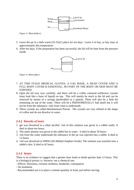

<span id="page-9-0"></span> *Figure 3: Meat (before)*

- 5. Leave the jar in a dark warm (25-35oC) place for ten days. Leave it in hay, as hay stays at approximately this temperature.
- 6. After ten days, if the preparation has been successful, the lid will be bent from the pressure inside.



 *Figure 4: Meat (after)*

- 7. AT THIS STAGE MEDICAL GLOVES, A GAS MASK, A HEAD COVER AND A FULL BODY COVER IS ESSENTIAL. NO PART OF THE BODY OR SKIN MUST BE EXPOSED.
- 8. Open the lid very very carefully. and there will be a coffee coloured red/brown crystals (may look like a layer of liquid) on top. This will mainly be stuck to the lid and can be removed by means of a syringe (preferable) or a spatula. There will also be a little bit remaining on top of the water. There will be a PHENOMENALLY bad smell but it will not be from the substance- only from what is underneath.
- 9. These crystals are called Betaluminum Poison. The crystals are very refined in the shape of coffee and do not dissolve in water.

### **2.4.2 Results of tests**

- 1. gm was dissolved in a ethyl alcohol. 1ml of this solution was given to a rabbit orally. It died in about ten hours.
- 2. The same amount was given to the rabbit but in water it died in about 30 hours.
- 3. 1ml from the water underneath the substance in the jar was injected into a rabbit. It died in 12 hours.
- 4. 1ml was dissolved in DMSO (Di-Methyl-Sulphur-Oxide). The solution was touched onto a rabbit's skin. It died in 42 hours.

### **2.4.3 Notes**

There is no evidence to suggest that a greater dose leads to death quicker than 12 hours. This is a biological poison i.e. bacteria- not a chemical one.

- Effects: Dizziness, extreme tiredness, headache, constipation.
- No treatment.
- Recommended use is to place a minute quantity in food, just before serving.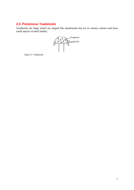# <span id="page-10-0"></span>**2.5 Poisonous Toadstools**

Toadstools are fungi which are shaped like mushrooms but are in various colours and have small specks on their bodies:



*Figure 5: Toadstools*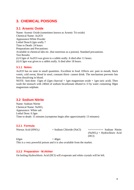# <span id="page-11-0"></span>**3. CHEMICAL POISONS**

# **3.1 Arsenic Oxide**

Name: Arsenic Oxide (sometimes known as Arsenic Tri-oxide) Chemical Name: As2O3 Appearance:White Powder Lethal Dose:0.2gm orally ? Time to Death: 24 hours Preparations and Precautions: Available in chemical labs etc. (but notorious as a poison). Standard precautions. Test Results: (i) 0.5gm of As2O3 was given to a rabbit orally. It died after 11 hours. (ii) 0.3gm was given to a rabbit orally. It died after 18 hours.

### **3.1.1 Notes:**

As2O3 has no taste in small quantities. Excellent in food. Effects are: pain in mouth, black vomit, cold sweat, blood in stool, constant thirst- cannot drink. The mechanism prevents fats from dissolving in blood.

NOTE: Anti-dote: 15gm of  $(2gm \text{ charcoal} + 1gm \text{ magnesium oxide} + 1gm \text{ tariic acid})$ . Then wash the stomach with 240ml of sodium bicarbonate diluted to 1l by water containing 30gm magnesium sulphate.

# **3.2 Sodium Nitrite**

Name: Sodium Nitrite Chemical Name: NaNO<sub>2</sub> Appearance: White salt Lethal Dose: 0.3gm Time to death: 15 minutes (symptoms begin after approximately 13 minutes)

### **3.2.1 Formula**

 $Nitrous Acid (HNO<sub>2</sub>)$  + Sodium Chloride (NaCl) =========== Sodium Nitrite  $(NaNO<sub>2</sub>)$  + Hydrochloric Acid (HCl)

 $63 \text{gm} + 40 \text{gm}$ This is a very powerful poison and it is also available from the market.

### **3.2.2 Preparation - M.Akhter**

On boiling Hydrochloric Acid (HCl) will evaporate and white crystals will be left.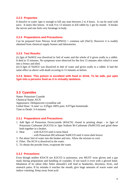### <span id="page-12-0"></span>**3.2.3 Properties**

It dissolve in water 1gm is enough to kill any man between 2 to 4 hours. It can be used with juice. It tastes like lemon. It took 9 to 13 minutes to kill rabbit by 2 gm by month. It breaks the nerves and one feels very breakage in body.

### **3.2.4 Preparations and Precautions:**

Can be prepared from Nitrous Acid (HNO2) + common salt (NaCl). However it is readily obtained from chemical supply houses and laboratories.

### **3.2.5 Test Results:**

(i) 2gm of NaNO2 was dissolved in 5ml of water and the whole of it given orally to a rabbit. It died in 15 minutes. No symptoms were observed for the first 15 minutes after which it went into a frenzy and died.

(ii) 0.3gm of NaNO2 was dissolved in 4ml of water and given orally to a rabbit. It had the same effect as above with death occuring in 15 minutes as before.

### **3.2.6 Notes: This poison is excellent with food or drink. To be safe, put upto 1gm into a persons food as it is virtually tasteless.**

# **3.3 Cyanides**

Name: Potassium Cyanide Chemical Name: KCN Appearance: Deliquescent crystalline salt Lethal Dose: 'A taste' i.e. 0.05gm 100% pure. 0.075gm homemade. Time to Death: 3-4 minutes

### **3.3.1 Preparations and Precautions:**

- 1. Add 8gm of Potassium Ferrocyanide (KFeCN) -found in printing shops to 3gm of Potassium Carbonate (K2CO3) or 3gm Sodium Bi-Carbonate (NaHCO3) and grind them both together in a beaker.
- 2. Heat : with K2CO3 until it turns black
	- : with Potassium BiCarbonate NaHCO3 until it turns dark brown
- 3. Put about 5ml of water into the beaker and mix. Allow the mixture to cool.
- 4. Filter. The KCN is dissolved in the water.
- 5. To obtain the powder form, evaporate the water.

### **3.3.2 Precautions**

Even though neither KFeCN nor K2CO3 is poisonous, you MUST wear gloves and a gas mask during preparation and handling of cyanides. D not touch it even with a gloved hand. Inhalation of its odour (like 'bitter almonds') will lead to headaches, dizziness, fever, and stomach pains. If by mistake it touches the mouth, give huge amounts of warm water and induce vomiting. Keep away from acid.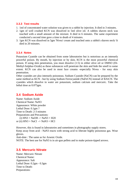### <span id="page-13-0"></span>**3.3.3 Test results**

- 1. 1ml of concentrated water solution was given to a rabbit by injection. It died in 3 minutes.
- 2. 1gm of well crushed KCN was dissolved in 5ml olive oil. A rabbits shaven neck was touched with a small amount of the mixture. It died in 6 minutes. The same experiment conducted a second time gave a time to death of 4 minutes.
- 3. 1gm KCN was dissolved in 5gm 'Nivea' cream and touched onto a rabbit's shaven neck/ It died in 20 minutes.

### **3.3.4 Notes**

Potassium Cyanide can be obtained from some laboratories but is notorious as an intensely powerful poison. By mouth, by injection or by skin, KCN is the most powerful chemical poison. If using skin penetration, you must dissolve (1:5) in either olive oil or DMSO (Di-Methyl-Sulphur-Oxide) as these substances will penetrate the skin and hide the smell to some extent. KCN can also be used in most face creams -especially Nivea - for easy skin penetration.

Other cyanides are also intensely poisonous. Sodium Cyanide (NaCN) can be prepared by the same method as KCN - but by using Sodium Ferrocyanide (NaFeCN) instead of KFeCN. The cyanides which dissolve in water are potassium, sodium calcium and mercuric. Take the lethal dose as 0.075gm.

### **3.4 Sodium Azide**

Name: Sodium Azide Chemical Name: NaN3 Appearance: White powder Lethal Dose: 0.1gm ? Time to Death: 2-3 minutes Preparations and Precautions: (i)  $HN3 + NaOH \rightarrow NaN3 + H20$ or (ii)  $HN3 + NaCl \rightarrow NaN3 + HCl$ 

However, this is found in laboratories and sometimes in photography supply stores. Keep away from acid - NaN3 reacts with strong acid to liberate highly poisonous gas. Wear gloves.

Anti-dote : The same as for Arsenic Oxide. NOTE: The best use for NaN3 is in air-gun pellets and to make poison-tipped arrows.

### **3.5 Mercuric Nitrate**

Name: Mercuric Nitrate Chemical Name: Appearance: Salt Lethal Dose: 0.2gm - 0.3gm Time to Death: Preparations: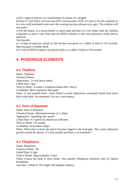<span id="page-14-0"></span>a) Put 1.5gm of mercury in a small beaker by means of a dropper.

b) Pour in 11ml Nitric Acid (at least 65% concentrated). (N.B. It is best to do this outdoors or in a very well-ventilated room since the ensuing reaction releases toxic gas.) The solution will turn green.

c) Put the beaker on a busen-burner or spirit lamp and heat on a low flame until the solution evaporates to leave a salt. Note that the HNO3 solution is also very poisonous orally and by injection.

Test Results:

(i) ) 0.5gm of mercuric nitrate in 3ml alcohol was given to a rabbit. It died in 210 seconds. Injection gave a similar result.

(ii) 3.5ml of HNO3 solution was given orally to a rabbit. It died in 150 seconds.

# **4. POISONOUS ELEMENTS**

### **4.1 Thallium**

Name: Thallium Chemical Name: Appearance : A very heavy metal Lethal Dose: 1gm Time to Death : 6 weeks ( symptoms begin after 3 days) Availabilty: More expensive than gold Notes: A very painful death - fever, blood in vomit, depression, eventually blood from every hole in the body. No treatment. Use on a cruel enemy !

# **4.2 Dust of Diamond**

Name: Dust of Diamond Chemical Name : Diamond isotrope of Carbon Appearance : Sparkling dust specks Lethal Dose: 4-5 specks by mouth are sufficient Time to Death: 2-6 months Availablity: In jewellers shops. Notes: When take in food, the specks become lodged in the food-pipe. This causes abnormal growth around the specks. It is very painful and there is no treatment !

### **4.3 Phophorus**

Name: Phophorus Chemical Name : Ph Lethal Dose: 0.1gm Time to Death: Approximately 2 days Notes: Causes the body to burn inside -very painful. Phophorus dissolves only in Carbon Disulphide. Anti-dote: 250ml of 8% copper (II) sulphate solution.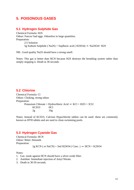# <span id="page-15-0"></span>**5. POISONOUS GASES**

# **5.1 Hydrogen Sulphide Gas**

Chemical Formula: H2S Odour: Faeces/ bad eggs. Odourless in large quantities. Preparation: 2:5 Solution  $5g$  Sodium Sulphide (Na2S) + Suplhuric acid (H2SO4)  $\rightarrow$  Na2SO4+ H2S

NB.: Good quality Na2S should have a strong smell.

Notes: This gas is better than HCN because H2S destroys the breathing system rather than simply stopping it. Death in 30 seconds.

# **5.2 Chlorine**

Chemical Formula: Cl Odour: Choking, strong odour. Preparation: Potassium Chlorate + Hydrochloric Acid  $\rightarrow$  KCl + H2O + 3Cl2 KClO3 HCl  $2g$   $10g$ 

Notes: Instead of KClO3, Calcium Hypochlorite tablets can be used- these are commonly known as HTH tablets and are used to clean swimming pools.

# **5.3 Hydrogen Cyanide Gas**

Chemical Formula: HCN Odour: Bitter Almonds Preparation:

 $2g KCN$  ( or NaCN) + 5ml H2SO4 ( Conc. )  $\rightarrow$  HCN + K2SO4

Notes:

- 1. Gas- mask against HCN should have a silver oxide filter.
- 2. Antidote: Immediate injection of Amyl Nitrate.
- 3. Death in 30-50 seconds.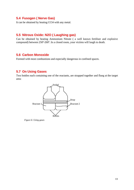# <span id="page-16-0"></span>**5.4 Fusogen ( Nerve Gas)**

It can be obtained by heating CCl4 with any metal.

# **5.5 Nitrous Oxide: N2O ( Laughing gas)**

Can be obtained by heating Ammonium Nitrate ( a well known fertiliser and explosive compound) between 250º-260º. In a closed room, your victims will laugh to death.

# **5.6 Carbon Monoxide**

Formed with most combustions and especially dangerous in confined spaces.

# **5.7 On Using Gases**

Two bottles each containing one of the reactants, are strapped together and flung at the target area:



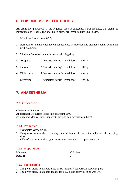# <span id="page-17-0"></span>**6. POISONOUS/ USEFUL DRUGS**

All drugs are 'poisonous' if the required dose is exceeded. ( For instance, 2.5 grams of Paracetamol is lethal) . The ones listed below are lethal in quite small doses.

- 1. Morphine: Lethal dose: 0.25g.
- 2. Barbiturates: Lethal when recommended dose is exceeded and alcohol is taken within the next two hours.
- 3. ' Sodium Pentothal' : an information eliciting drug.

| 4. Atrophine - | A 'supertoxic drug' - lethal dose | $< 0.1$ g. |
|----------------|-----------------------------------|------------|
| 5. Heroin      | A 'supertoxic drug' - lethal dose | $< 0.1$ g. |
| 6. Digitoxin - | A 'supertoxic drug' - lethal dose | $< 0.1$ g. |
| 7. Strychime - | A 'supertoxic drug' - lethal dose | $< 0.1$ g. |

# **7. ANAESTHESIA**

# **7.1 Chloroform**

Chemical Name: CHCl3 Appearance: Colourless liquid melting point 61ºC Availability: Medical labs, Industry ( Pure and commercial form both)

### **7.1.1 Properties:**

- 1. Evaporates very quickly.
- 2. Dangerous because there is a very small difference between the lethal and the sleeping dose.
- 3. Chloroform reacts with oxygen to form fusogen which is a poisonous gas.

### **7.1.2 Preparation**

Ratio 1: 3

Methane Chlorine

### **7.1.3 Test Results**

- 1. 2ml given orally to a rabbit. Died in 1/2 minute. Note: CHCl3 used was pure.
- 2. 1ml given orally to a rabbit. It slept for 1 1/2 hours after which he was OK.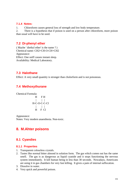### <span id="page-18-0"></span>**7.1.4 Notes:**

1. Chloroform causes general loss of strength and low body temperature.

2. There is a hypothesis that if poison is used on a person after chloroform, more poison than usual will have to be used.

# **7.2 Di-phenyl ether**

( Maybe ' diethyl ether' is the name ? ) Chemical name: CH2=CH-O-CH=CH2 Appearance: Effect: One sniff causes instant sleep. Availability: Medical Laboratory.

# **7.3 Halothane**

Effect: A very small quantity is stronger than cholorform and is not poisonous.

# **7.4 Methoxythurane**

Chemical Formula:

$$
\begin{array}{c|c}\n\text{H} & \text{F} \text{H} \\
\mid & \mid \\
\text{H-C-O-C-C-Cl} \\
\mid & \mid \\
\text{H} & \text{F} \text{Cl}\n\end{array}
$$

Appearance:

Notes: Very modern anaesthesia. Non-toxic.

# **8. M.Ahter poisons**

# **8.1 Cyandies**

### **8.1.1 Properties**

- 1. Transparent colourless crystals.
- 2. Tastes like normal bitter almond in solution form. The gas which comes out has the same smell. The gas is as dangerous as liquid cyanide and it stops functioning the nervous system immediately. It kill human being in less than 30 seconds. Nowadays, Americans are using it in gas chambers for very fast killing. It gives a pain of internal suffocation.
- 3. Dissolve in water.
- 4. Very quick and powerful poison.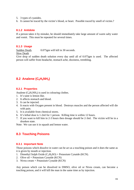- <span id="page-19-0"></span>5. 3 types of cyanides.
- 6. It cannot be traced by the victim's blood, or heart. Possible traced by smell of victim.?

#### **8.1.2 Antidote**

If a person takes it by mistake, he should immediately take large amount of warm salty water and vomit. This must be repeated for several times.

#### **8.1.3 Usage**

Sudden Death. 0.075gm will kill in 30 seconds. Slow Death

Give drop of sudden death solution every day until all of 0.075gm is used. The affected person will suffer from headache, stomach ache, dizziness, trembling.

# 8.2 Analene (C<sub>6</sub>H<sub>5</sub>NH<sub>2</sub>)

#### **8.2.1 Properties**

Analene  $(C_6H_5NH_2)$  is used in colouring clothes.

- 1. It's taste is lemon like.
- 2. It affects stomach and blood.
- 3. It can be injected.
- 4. It reacts with Oxygen present in blood. Destroys muscles and the person affected will die with pain.
- 5. It is available from chemical stores.
- 6. It's lethal dose is 1-2ml for 1 person. Killing time is within 12 hours.
- 7. If you want to kill him in 2-3 hours then dosage should be 2-3ml. The victim will be in a drunken state.

Note: We can use it in squash and lemon water.

### **8.3 Touching Poisons**

#### **8.3.1 Important Note**

Those poisons which dissolve in water can be act as a touching poison and it does the same as it is given by mouth or injection.

- 1. Dimethyl Sulph Oxide  $(C_2H_6SO) +$  Potassium Cynaide (KCN).
- 2. Olive oil + Potassium Cynaide (KCN)
- 3. Nivea cream + Potassium Cynaide (KCN)

Any poison which can be dissolved in DMSO, olive oil or Nivea cream, can become a touching poison, and it will kill the man in the same time as by injection.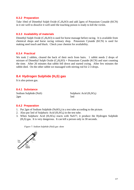### <span id="page-20-0"></span>**8.3.2 Preparation**

Take 10ml of Dimethyl Sulph Oxide ( $C_2H_6SO$ ) and add 2gms of Potassium Cynaide (KCN) in it stir well to dissolve it well until the touching poison is ready to kill the victim.

### **8.3.3 Availability of materials**

Dimethyl Sulph Oxide ( $C_2H_6SO$ ) is used for horse massage before racing. It is available from chemical shops and horse racing vetinary shop. Potassium Cynaide (KCN) is used for making steel touch and black. Check your chemist for availability.

### **8.3.4 Practical**

We took 2 rabbits, cleared the back of their neck from hairs. 1 rabbit needs 2 drops of mixture of Dimethyl Sulph Oxide  $(C_2H_6SO)$  + Potassium Cynaide (KCN) and start counting the time. After 26 minutes that rabbit fell down and started crying. After few minutes the rabbit died. On the other rabbit we massaged with stirring rod for 2-3 drops.

# **8.4 Hydrogen Sulphide (H2S) gas**

It is also poison gas.

### **8.4.1 Substance**

Sodium Sulphide (NaS) Sulphuric Acid  $(H_2SO_4)$  $2gm$  5ml

### **8.4.2 Preparation**

- 1. Put 2gm of Sodium Sulphide (NaSO4) in a test tube according to the picture.
- 2. Also put 5ml of Sulphuric Acid  $(H_2SO_4)$  in the test tube.
- 3. When Sulphuric Acid  $(H_2SO_4)$  reacts with NaS??, it produce the Hydrogen Sulphide  $(H<sub>2</sub>S)$  gas. It is very dangerous. It can kill a person only in 30 seconds.

*Figure 7: Sodium Sulphide (NaS) gas -done*

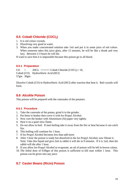# <span id="page-21-0"></span>**8.5 Cobalt Chloride (COCl2)**

- 1. It is red colour crystals.
- 2. Dissolving very good in water.
- 3. When you make concentrated solution take 1ml and put it in some juice of red colour. When someone takes this juice glass, after 15 minutes, he will be like a drunk and very lazy. Between 2-3 hours he will die.

If want to save him it is impossible because this poison go to all blood.

### **8.5.1 Preparation**

 $CO + 2HCL = = = = Cobalt Chloride (COCl<sub>2</sub>) + H<sub>2</sub>$ Cobalt (CO) Hydrochloric Acid (HCl) 57gm 36gm

Dissolve Cobalt (CO) in Hydrochloric Acid (HCl) after reaction that heat it. Red crystals will form.

# **8.6 Alcolite Poison**

This poison will be prepared with the cuternales of the potatoes.

### **8.6.1 Procedure**

- 1. Take the cuternale of the potato, grind it in the grinder.
- 2. Put them in beaker then cover it with Iso Propyl Alcohol.
- 3. Now core the beaker with Aluminium (Al) paper very tightly.
- 4. Heat it on a quiet slow flame.
- 5. Do not allow to boil. If start boiling take it away from the fire or heat because it can catch fire.
- 6. This boiling will continue for 1 hour.
- 7. If Iso Propyl Alcohol becomes less than add more.
- 8. After 1 hour the poison is ready but dissolved in the Iso Propyl Alcohol, now filtrate it. Note: Take this liquid and give 2ml to rabbit it will die in 9 minutes. If it is 1ml, then the rabbit will die after 1 hour.
- 9. If you allow Iso Propyl Alcohol to evaporate, an oil of poison will be left in brown colour.
- 10. The lethal dose of 0.06gm of this poison is sufficient to kill man within 1 hour. This poison can be given into any juice.

# **8.7 Caster Beans (Ricin) Poison**